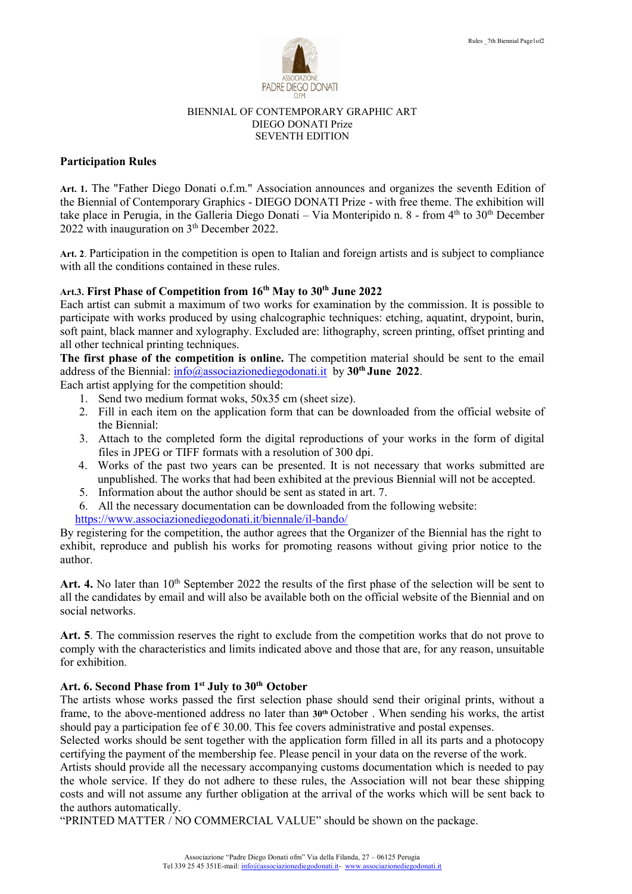

#### BIENNIAL OF CONTEMPORARY GRAPHIC ART DIEGO DONATI Prize SEVENTH EDITION

## **Participation Rules**

**Art. 1.** The "Father Diego Donati o.f.m." Association announces and organizes the seventh Edition of the Biennial of Contemporary Graphics - DIEGO DONATI Prize - with free theme. The exhibition will take place in Perugia, in the Galleria Diego Donati – Via Monteripido n.  $8$  - from  $4<sup>th</sup>$  to  $30<sup>th</sup>$  December  $2022$  with inauguration on  $3<sup>th</sup>$  December 2022.

**Art. 2**. Participation in the competition is open to Italian and foreign artists and is subject to compliance with all the conditions contained in these rules.

# **Art.3. First Phase of Competition from 16th May to 30th June 2022**

Each artist can submit a maximum of two works for examination by the commission. It is possible to participate with works produced by using chalcographic techniques: etching, aquatint, drypoint, burin, soft paint, black manner and xylography. Excluded are: lithography, screen printing, offset printing and all other technical printing techniques.

**The first phase of the competition is online.** The competition material should be sent to the email address of the Biennial: [info@associazionediegodonati.it](mailto:info@associazionediegodonati.it) by **30th June 2022**.

Each artist applying for the competition should:

- 1. Send two medium format woks, 50x35 cm (sheet size).
- 2. Fill in each item on the application form that can be downloaded from the official website of the Biennial:
- 3. Attach to the completed form the digital reproductions of your works in the form of digital files in JPEG or TIFF formats with a resolution of 300 dpi.
- 4. Works of the past two years can be presented. It is not necessary that works submitted are unpublished. The works that had been exhibited at the previous Biennial will not be accepted.
- 5. Information about the author should be sent as stated in art. 7.
- 6. All the necessary documentation can be downloaded from the following website:

<https://www.associazionediegodonati.it/biennale/il-bando/>

By registering for the competition, the author agrees that the Organizer of the Biennial has the right to exhibit, reproduce and publish his works for promoting reasons without giving prior notice to the author.

Art. 4. No later than 10<sup>th</sup> September 2022 the results of the first phase of the selection will be sent to all the candidates by email and will also be available both on the official website of the Biennial and on social networks.

**Art. 5**. The commission reserves the right to exclude from the competition works that do not prove to comply with the characteristics and limits indicated above and those that are, for any reason, unsuitable for exhibition.

## **Art. 6. Second Phase from 1 st July to 30th October**

The artists whose works passed the first selection phase should send their original prints, without a frame, to the above-mentioned address no later than **30th** October . When sending his works, the artist should pay a participation fee of  $\epsilon$  30.00. This fee covers administrative and postal expenses.

Selected works should be sent together with the application form filled in all its parts and a photocopy certifying the payment of the membership fee. Please pencil in your data on the reverse of the work.

Artists should provide all the necessary accompanying customs documentation which is needed to pay the whole service. If they do not adhere to these rules, the Association will not bear these shipping costs and will not assume any further obligation at the arrival of the works which will be sent back to the authors automatically.

"PRINTED MATTER / NO COMMERCIAL VALUE" should be shown on the package.